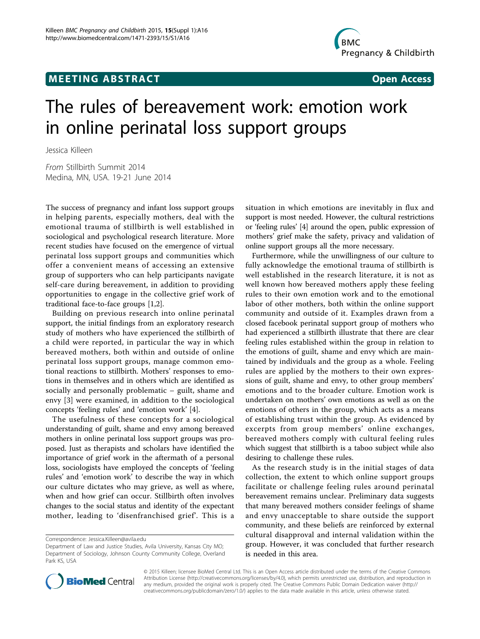## **MEETING ABSTRACT ACCESS**



# The rules of bereavement work: emotion work in online perinatal loss support groups

Jessica Killeen

From Stillbirth Summit 2014 Medina, MN, USA. 19-21 June 2014

The success of pregnancy and infant loss support groups in helping parents, especially mothers, deal with the emotional trauma of stillbirth is well established in sociological and psychological research literature. More recent studies have focused on the emergence of virtual perinatal loss support groups and communities which offer a convenient means of accessing an extensive group of supporters who can help participants navigate self-care during bereavement, in addition to providing opportunities to engage in the collective grief work of traditional face-to-face groups [[1](#page-1-0),[2](#page-1-0)].

Building on previous research into online perinatal support, the initial findings from an exploratory research study of mothers who have experienced the stillbirth of a child were reported, in particular the way in which bereaved mothers, both within and outside of online perinatal loss support groups, manage common emotional reactions to stillbirth. Mothers' responses to emotions in themselves and in others which are identified as socially and personally problematic – guilt, shame and envy [[3\]](#page-1-0) were examined, in addition to the sociological concepts 'feeling rules' and 'emotion work' [\[4](#page-1-0)].

The usefulness of these concepts for a sociological understanding of guilt, shame and envy among bereaved mothers in online perinatal loss support groups was proposed. Just as therapists and scholars have identified the importance of grief work in the aftermath of a personal loss, sociologists have employed the concepts of 'feeling rules' and 'emotion work' to describe the way in which our culture dictates who may grieve, as well as where, when and how grief can occur. Stillbirth often involves changes to the social status and identity of the expectant mother, leading to 'disenfranchised grief'. This is a situation in which emotions are inevitably in flux and support is most needed. However, the cultural restrictions or 'feeling rules' [[4\]](#page-1-0) around the open, public expression of mothers' grief make the safety, privacy and validation of online support groups all the more necessary.

Furthermore, while the unwillingness of our culture to fully acknowledge the emotional trauma of stillbirth is well established in the research literature, it is not as well known how bereaved mothers apply these feeling rules to their own emotion work and to the emotional labor of other mothers, both within the online support community and outside of it. Examples drawn from a closed facebook perinatal support group of mothers who had experienced a stillbirth illustrate that there are clear feeling rules established within the group in relation to the emotions of guilt, shame and envy which are maintained by individuals and the group as a whole. Feeling rules are applied by the mothers to their own expressions of guilt, shame and envy, to other group members' emotions and to the broader culture. Emotion work is undertaken on mothers' own emotions as well as on the emotions of others in the group, which acts as a means of establishing trust within the group. As evidenced by excerpts from group members' online exchanges, bereaved mothers comply with cultural feeling rules which suggest that stillbirth is a taboo subject while also desiring to challenge these rules.

As the research study is in the initial stages of data collection, the extent to which online support groups facilitate or challenge feeling rules around perinatal bereavement remains unclear. Preliminary data suggests that many bereaved mothers consider feelings of shame and envy unacceptable to share outside the support community, and these beliefs are reinforced by external cultural disapproval and internal validation within the group. However, it was concluded that further research is needed in this area.



© 2015 Killeen; licensee BioMed Central Ltd. This is an Open Access article distributed under the terms of the Creative Commons Attribution License [\(http://creativecommons.org/licenses/by/4.0](http://creativecommons.org/licenses/by/4.0)), which permits unrestricted use, distribution, and reproduction in any medium, provided the original work is properly cited. The Creative Commons Public Domain Dedication waiver [\(http://](http://creativecommons.org/publicdomain/zero/1.0/) [creativecommons.org/publicdomain/zero/1.0/](http://creativecommons.org/publicdomain/zero/1.0/)) applies to the data made available in this article, unless otherwise stated.

Correspondence: [Jessica.Killeen@avila.edu](mailto:Jessica.Killeen@avila.edu)

Department of Law and Justice Studies, Avila University, Kansas City MO; Department of Sociology, Johnson County Community College, Overland Park KS, USA